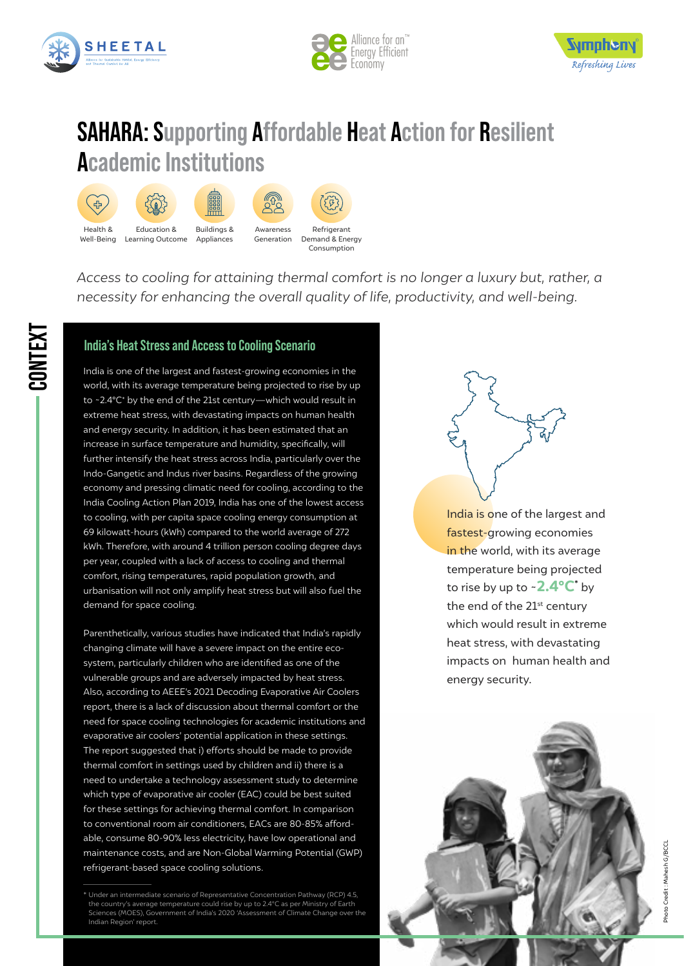

**CONTEXT**





# **SAHARA: Supporting Affordable Heat Action for Resilient Academic Institutions**



*Access to cooling for attaining thermal comfort is no longer a luxury but, rather, a necessity for enhancing the overall quality of life, productivity, and well-being.* 

## **India's Heat Stress and Access to Cooling Scenario**

India is one of the largest and fastest-growing economies in the world, with its average temperature being projected to rise by up to ~2.4°C\* by the end of the 21st century—which would result in extreme heat stress, with devastating impacts on human health and energy security. In addition, it has been estimated that an increase in surface temperature and humidity, specifically, will further intensify the heat stress across India, particularly over the Indo-Gangetic and Indus river basins. Regardless of the growing economy and pressing climatic need for cooling, according to the India Cooling Action Plan 2019, India has one of the lowest access to cooling, with per capita space cooling energy consumption at 69 kilowatt-hours (kWh) compared to the world average of 272 kWh. Therefore, with around 4 trillion person cooling degree days per year, coupled with a lack of access to cooling and thermal comfort, rising temperatures, rapid population growth, and urbanisation will not only amplify heat stress but will also fuel the demand for space cooling.

Parenthetically, various studies have indicated that India's rapidly changing climate will have a severe impact on the entire ecosystem, particularly children who are identified as one of the vulnerable groups and are adversely impacted by heat stress. Also, according to AEEE's 2021 Decoding Evaporative Air Coolers report, there is a lack of discussion about thermal comfort or the need for space cooling technologies for academic institutions and evaporative air coolers' potential application in these settings. The report suggested that i) efforts should be made to provide thermal comfort in settings used by children and ii) there is a need to undertake a technology assessment study to determine which type of evaporative air cooler (EAC) could be best suited for these settings for achieving thermal comfort. In comparison to conventional room air conditioners, EACs are 80-85% affordable, consume 80-90% less electricity, have low operational and maintenance costs, and are Non-Global Warming Potential (GWP) refrigerant-based space cooling solutions.

India is one of the largest and fastest-growing economies in the world, with its average temperature being projected to rise by up to  $\sim$  2.4 $\rm ^oC^\ast$  by the end of the 21<sup>st</sup> century which would result in extreme heat stress, with devastating impacts on human health and energy security.



<sup>\*</sup> Under an intermediate scenario of Representative Concentration Pathway (RCP) 4.5, the country's average temperature could rise by up to 2.4°C as per Ministry of Earth Sciences (MOES), Government of India's 2020 'Assessment of Climate Change over the Indian Region' report.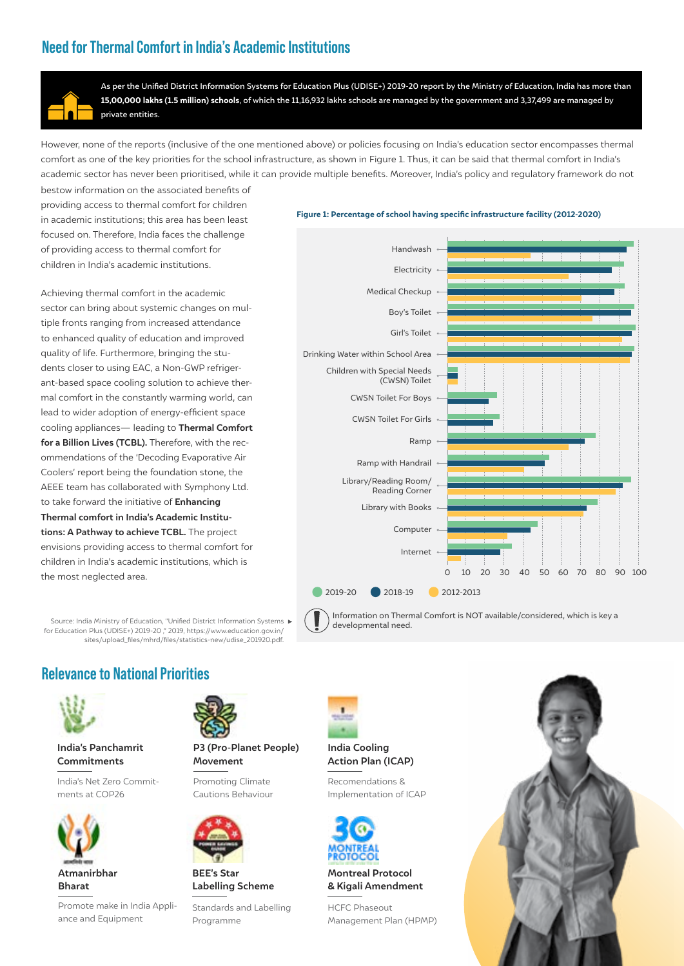## **Need for Thermal Comfort in India's Academic Institutions**



As per the Unified District Information Systems for Education Plus (UDISE+) 2019-20 report by the Ministry of Education, India has more than 15,00,000 lakhs (1.5 million) schools, of which the 11,16,932 lakhs schools are managed by the government and 3,37,499 are managed by private entities.

However, none of the reports (inclusive of the one mentioned above) or policies focusing on India's education sector encompasses thermal comfort as one of the key priorities for the school infrastructure, as shown in Figure 1. Thus, it can be said that thermal comfort in India's academic sector has never been prioritised, while it can provide multiple benefits. Moreover, India's policy and regulatory framework do not

bestow information on the associated benefits of providing access to thermal comfort for children in academic institutions; this area has been least focused on. Therefore, India faces the challenge of providing access to thermal comfort for children in India's academic institutions.

Achieving thermal comfort in the academic sector can bring about systemic changes on multiple fronts ranging from increased attendance to enhanced quality of education and improved quality of life. Furthermore, bringing the students closer to using EAC, a Non-GWP refrigerant-based space cooling solution to achieve thermal comfort in the constantly warming world, can lead to wider adoption of energy-efficient space cooling appliances— leading to **Thermal Comfort for a Billion Lives (TCBL).** Therefore, with the recommendations of the 'Decoding Evaporative Air Coolers' report being the foundation stone, the AEEE team has collaborated with Symphony Ltd. to take forward the initiative of **Enhancing Thermal comfort in India's Academic Institutions: A Pathway to achieve TCBL.** The project envisions providing access to thermal comfort for children in India's academic institutions, which is the most neglected area.

Source: India Ministry of Education, "Unified District Information Systems 1 for Education Plus (UDISE+) 2019-20 ," 2019, https://www.education.gov.in/ sites/upload\_files/mhrd/files/statistics-new/udise\_201920.pdf.

### Figure 1: Percentage of school having specific infrastructure facility (2012-2020)



Information on Thermal Comfort is NOT available/considered, which is key a developmental need.

## **Relevance to National Priorities**



### **India's Panchamrit Commitments**

India's Net Zero Commitments at COP26



**Bharat**

Promote make in India Appliance and Equipment



### **P3 (Pro-Planet People) Movement**

Promoting Climate Cautions Behaviour



**BEE's Star Labelling Scheme**

Standards and Labelling Programme



### **India Cooling Action Plan (ICAP)**

Recomendations & Implementation of ICAP



**Montreal Protocol & Kigali Amendment**

HCFC Phaseout Management Plan (HPMP)

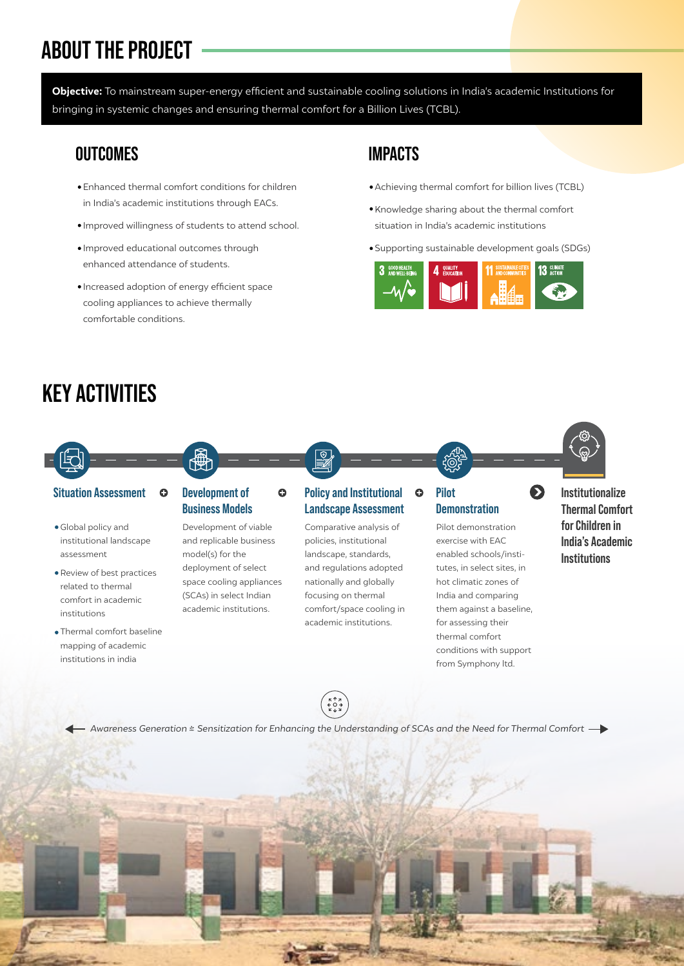# **ABOUT THE PROJECT**

Objective: To mainstream super-energy efficient and sustainable cooling solutions in India's academic Institutions for bringing in systemic changes and ensuring thermal comfort for a Billion Lives (TCBL).

## **OUTCOMES IMPACTS**

- Enhanced thermal comfort conditions for children in India's academic institutions through EACs.
- Improved willingness of students to attend school.
- Improved educational outcomes through enhanced attendance of students.
- Increased adoption of energy efficient space cooling appliances to achieve thermally comfortable conditions.

- Achieving thermal comfort for billion lives (TCBL)
- Knowledge sharing about the thermal comfort situation in India's academic institutions
- Supporting sustainable development goals (SDGs)





Global policy and institutional landscape assessment

**KEY ACTIVITIES**

- Review of best practices related to thermal comfort in academic institutions
- Thermal comfort baseline mapping of academic institutions in india

# **Business Models**

Development of viable and replicable business model(s) for the deployment of select space cooling appliances (SCAs) in select Indian academic institutions.

# **Landscape Assessment**

Comparative analysis of policies, institutional landscape, standards, and regulations adopted nationally and globally focusing on thermal comfort/space cooling in academic institutions.

# **Demonstration**

Pilot demonstration exercise with EAC enabled schools/institutes, in select sites, in hot climatic zones of India and comparing them against a baseline, for assessing their thermal comfort conditions with support from Symphony ltd.

## **Institutionalize Thermal Comfort for Children in India's Academic Institutions**

*Awareness Generation & Sensitization for Enhancing the Understanding of SCAs and the Need for Thermal Comfort*